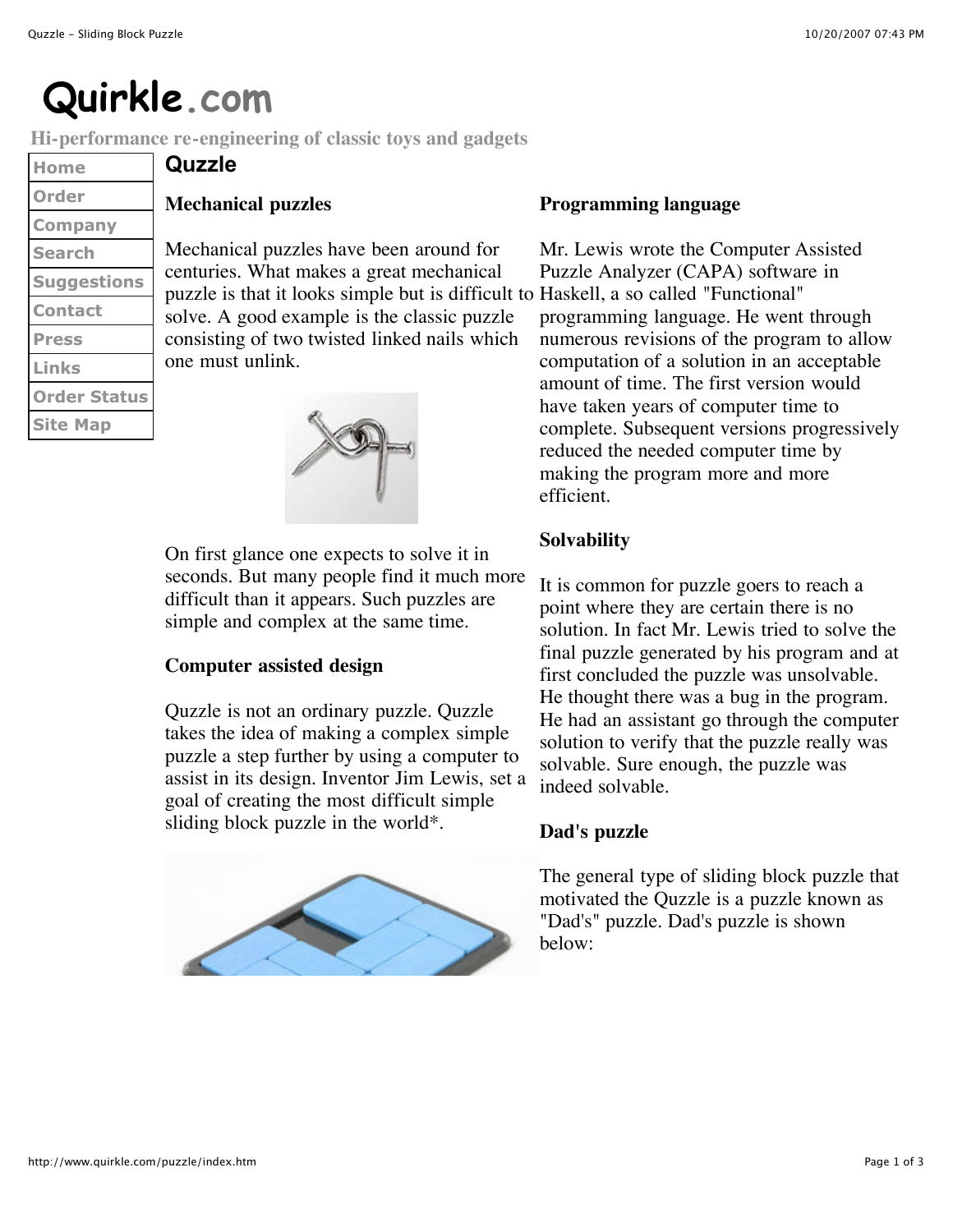# **Quirkle.com**

**Hi-performance re-engineering of classic toys and gadgets**

| Home                |
|---------------------|
| Order               |
| <b>Company</b>      |
| <b>Search</b>       |
| <b>Suggestions</b>  |
| <b>Contact</b>      |
| <b>Press</b>        |
| Links               |
| <b>Order Status</b> |
| <b>Site Map</b>     |

# **Mechanical puzzles**

**Quzzle**

Mechanical puzzles have been around for centuries. What makes a great mechanical puzzle is that it looks simple but is difficult to Haskell, a so called "Functional" solve. A good example is the classic puzzle consisting of two twisted linked nails which one must unlink.



On first glance one expects to solve it in seconds. But many people find it much more difficult than it appears. Such puzzles are simple and complex at the same time.

# **Computer assisted design**

Quzzle is not an ordinary puzzle. Quzzle takes the idea of making a complex simple puzzle a step further by using a computer to assist in its design. Inventor Jim Lewis, set a goal of creating the most difficult simple sliding block puzzle in the world\*.



### **Programming language**

Mr. Lewis wrote the Computer Assisted Puzzle Analyzer (CAPA) software in programming language. He went through numerous revisions of the program to allow computation of a solution in an acceptable amount of time. The first version would have taken years of computer time to complete. Subsequent versions progressively reduced the needed computer time by making the program more and more efficient.

# **Solvability**

It is common for puzzle goers to reach a point where they are certain there is no solution. In fact Mr. Lewis tried to solve the final puzzle generated by his program and at first concluded the puzzle was unsolvable. He thought there was a bug in the program. He had an assistant go through the computer solution to verify that the puzzle really was solvable. Sure enough, the puzzle was indeed solvable.

# **Dad's puzzle**

The general type of sliding block puzzle that motivated the Quzzle is a puzzle known as "Dad's" puzzle. Dad's puzzle is shown below: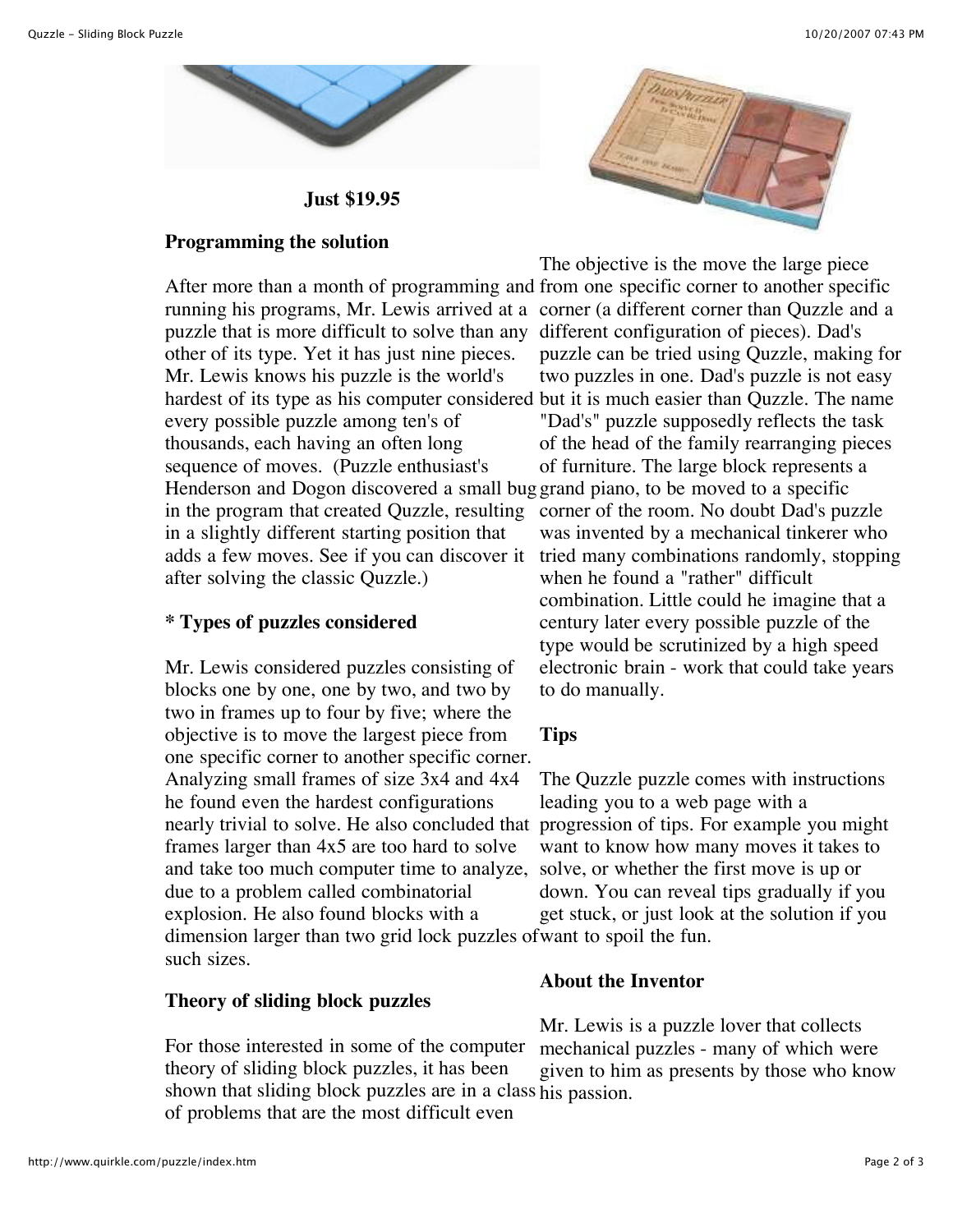

**Just \$19.95**

## **Programming the solution**

After more than a month of programming and from one specific corner to another specific running his programs, Mr. Lewis arrived at a corner (a different corner than Quzzle and a puzzle that is more difficult to solve than any other of its type. Yet it has just nine pieces. Mr. Lewis knows his puzzle is the world's hardest of its type as his computer considered but it is much easier than Quzzle. The name every possible puzzle among ten's of thousands, each having an often long sequence of moves. (Puzzle enthusiast's Henderson and Dogon discovered a small bug grand piano, to be moved to a specific in the program that created Quzzle, resulting in a slightly different starting position that adds a few moves. See if you can discover it after solving the classic Quzzle.)

# **\* Types of puzzles considered**

Mr. Lewis considered puzzles consisting of blocks one by one, one by two, and two by two in frames up to four by five; where the objective is to move the largest piece from one specific corner to another specific corner. Analyzing small frames of size 3x4 and 4x4 he found even the hardest configurations nearly trivial to solve. He also concluded that progression of tips. For example you might frames larger than 4x5 are too hard to solve and take too much computer time to analyze, due to a problem called combinatorial explosion. He also found blocks with a dimension larger than two grid lock puzzles of want to spoil the fun. such sizes.

#### **Theory of sliding block puzzles**

For those interested in some of the computer theory of sliding block puzzles, it has been shown that sliding block puzzles are in a class his passion.of problems that are the most difficult even



The objective is the move the large piece different configuration of pieces). Dad's puzzle can be tried using Quzzle, making for two puzzles in one. Dad's puzzle is not easy "Dad's" puzzle supposedly reflects the task of the head of the family rearranging pieces of furniture. The large block represents a corner of the room. No doubt Dad's puzzle was invented by a mechanical tinkerer who tried many combinations randomly, stopping when he found a "rather" difficult combination. Little could he imagine that a century later every possible puzzle of the type would be scrutinized by a high speed electronic brain - work that could take years to do manually.

# **Tips**

The Quzzle puzzle comes with instructions leading you to a web page with a want to know how many moves it takes to solve, or whether the first move is up or down. You can reveal tips gradually if you get stuck, or just look at the solution if you

#### **About the Inventor**

Mr. Lewis is a puzzle lover that collects mechanical puzzles - many of which were given to him as presents by those who know